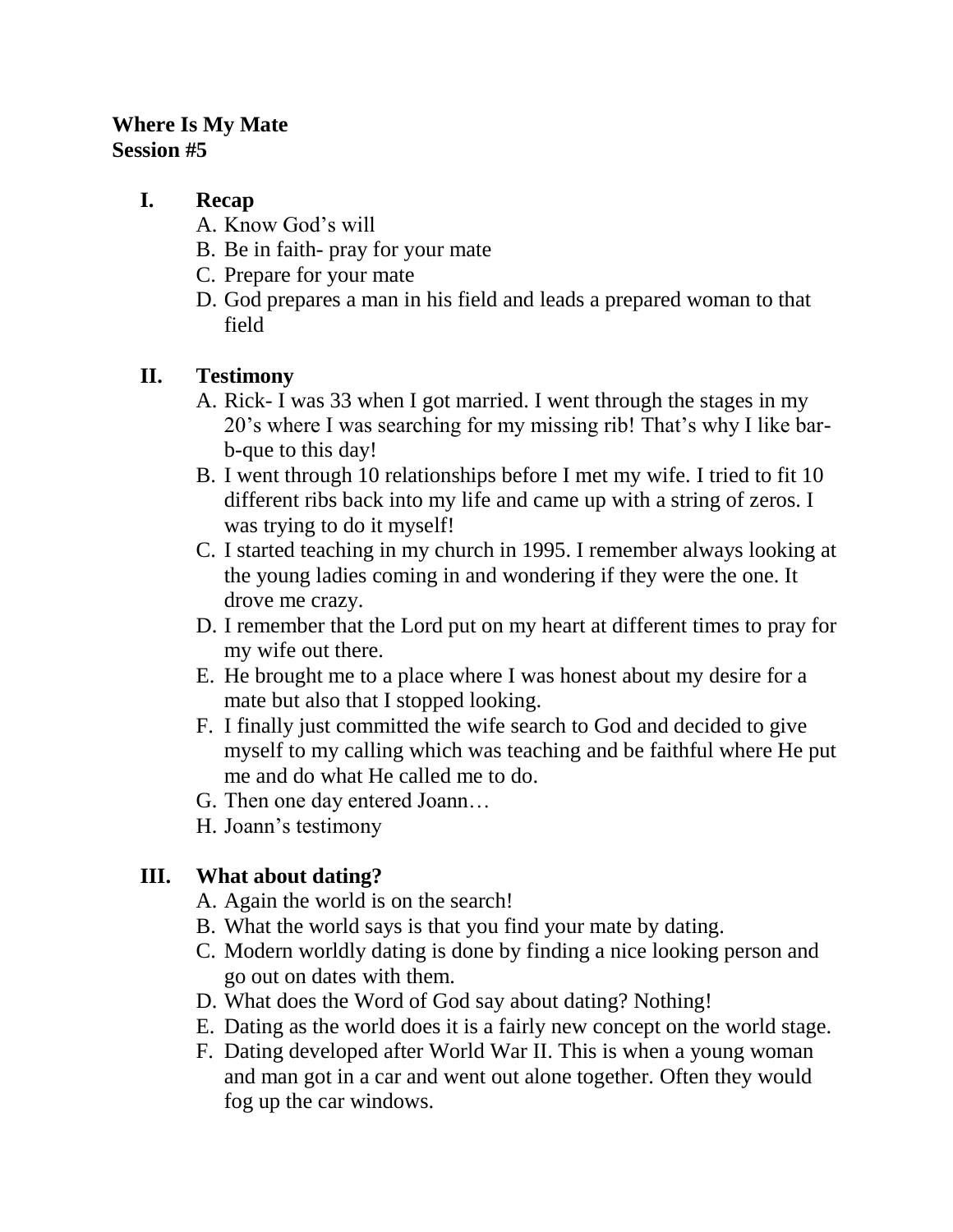### **Where Is My Mate Session #5**

### **I. Recap**

- A. Know God's will
- B. Be in faith- pray for your mate
- C. Prepare for your mate
- D. God prepares a man in his field and leads a prepared woman to that field

## **II. Testimony**

- A. Rick- I was 33 when I got married. I went through the stages in my 20's where I was searching for my missing rib! That's why I like barb-que to this day!
- B. I went through 10 relationships before I met my wife. I tried to fit 10 different ribs back into my life and came up with a string of zeros. I was trying to do it myself!
- C. I started teaching in my church in 1995. I remember always looking at the young ladies coming in and wondering if they were the one. It drove me crazy.
- D. I remember that the Lord put on my heart at different times to pray for my wife out there.
- E. He brought me to a place where I was honest about my desire for a mate but also that I stopped looking.
- F. I finally just committed the wife search to God and decided to give myself to my calling which was teaching and be faithful where He put me and do what He called me to do.
- G. Then one day entered Joann…
- H. Joann's testimony

# **III. What about dating?**

- A. Again the world is on the search!
- B. What the world says is that you find your mate by dating.
- C. Modern worldly dating is done by finding a nice looking person and go out on dates with them.
- D. What does the Word of God say about dating? Nothing!
- E. Dating as the world does it is a fairly new concept on the world stage.
- F. Dating developed after World War II. This is when a young woman and man got in a car and went out alone together. Often they would fog up the car windows.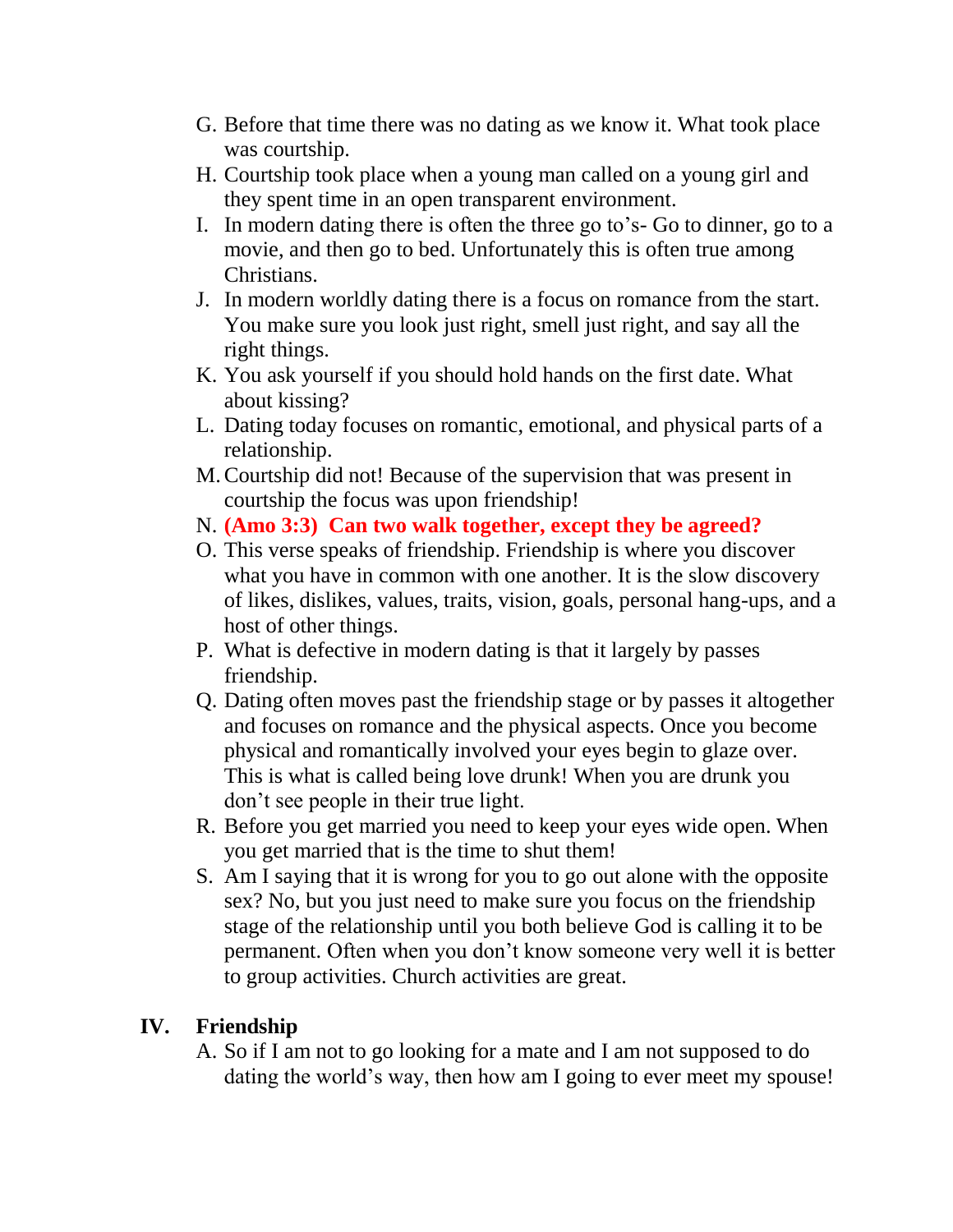- G. Before that time there was no dating as we know it. What took place was courtship.
- H. Courtship took place when a young man called on a young girl and they spent time in an open transparent environment.
- I. In modern dating there is often the three go to's- Go to dinner, go to a movie, and then go to bed. Unfortunately this is often true among Christians.
- J. In modern worldly dating there is a focus on romance from the start. You make sure you look just right, smell just right, and say all the right things.
- K. You ask yourself if you should hold hands on the first date. What about kissing?
- L. Dating today focuses on romantic, emotional, and physical parts of a relationship.
- M.Courtship did not! Because of the supervision that was present in courtship the focus was upon friendship!
- N. **(Amo 3:3) Can two walk together, except they be agreed?**
- O. This verse speaks of friendship. Friendship is where you discover what you have in common with one another. It is the slow discovery of likes, dislikes, values, traits, vision, goals, personal hang-ups, and a host of other things.
- P. What is defective in modern dating is that it largely by passes friendship.
- Q. Dating often moves past the friendship stage or by passes it altogether and focuses on romance and the physical aspects. Once you become physical and romantically involved your eyes begin to glaze over. This is what is called being love drunk! When you are drunk you don't see people in their true light.
- R. Before you get married you need to keep your eyes wide open. When you get married that is the time to shut them!
- S. Am I saying that it is wrong for you to go out alone with the opposite sex? No, but you just need to make sure you focus on the friendship stage of the relationship until you both believe God is calling it to be permanent. Often when you don't know someone very well it is better to group activities. Church activities are great.

### **IV. Friendship**

A. So if I am not to go looking for a mate and I am not supposed to do dating the world's way, then how am I going to ever meet my spouse!